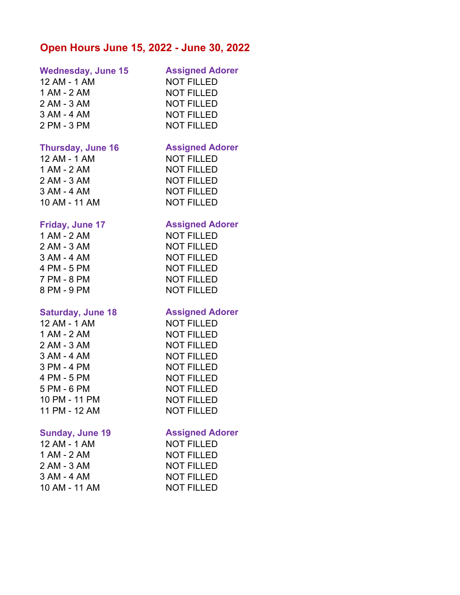# **Open Hours June 15, 2022 - June 30, 2022**

### **Wednesday, June 15 Assigned Adorer**

12 AM - 1 AM NOT FILLED 1 AM - 2 AM NOT FILLED 2 AM - 3 AM NOT FILLED 3 AM - 4 AM NOT FILLED 2 PM - 3 PM NOT FILLED

### **Thursday, June 16 Assigned Adorer**

1 AM - 2 AM NOT FILLED 2 AM - 3 AM NOT FILLED 3 AM - 4 AM NOT FILLED 10 AM - 11 AM NOT FILLED

| 1 AM - 2 AM |  |
|-------------|--|
| 2 AM - 3 AM |  |
| 3 AM - 4 AM |  |
| 4 PM - 5 PM |  |
| 7 PM - 8 PM |  |
| R DM A DM   |  |

### **Saturday, June 18 Assigned Adorer**

1 AM - 2 AM NOT FILLED 2 AM - 3 AM NOT FILLED 3 AM - 4 AM NOT FILLED 3 PM - 4 PM NOT FILLED 4 PM - 5 PM NOT FILLED 5 PM - 6 PM NOT FILLED 10 PM - 11 PM NOT FILLED

| 12 AM - 1 AM  |
|---------------|
| 1 AM - 2 AM   |
| 2 AM - 3 AM   |
| 3 AM - 4 AM   |
| 10 AM - 11 AM |

12 AM - 1 AM NOT FILLED

# **Friday, June 17 Assigned Adorer**

**NOT FILLED NOT FILLED NOT FILLED NOT FILLED NOT FILLED** 8 PM - 9 PM NOT FILLED

12 AM - 1 AM NOT FILLED 11 PM - 12 AM NOT FILLED

### **Sunday, June 19 Assigned Adorer**

**NOT FILLED NOT FILLED NOT FILLED NOT FILLED NOT FILLED**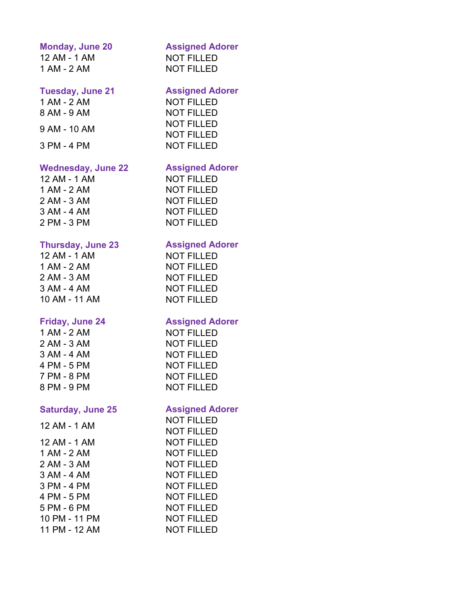### **Monday, June 20 Assigned Adorer**

12 AM - 1 AM NOT FILLED 1 AM - 2 AM NOT FILLED

### **Tuesday, June 21 Assigned Adorer**

1 AM - 2 AM NOT FILLED 8 AM - 9 AM NOT FILLED 9 AM - 10 AM NOT FILLED 3 PM - 4 PM NOT FILLED

# **Wednesday, June 22 Assigned Adorer**

NOT FILLED

12 AM - 1 AM NOT FILLED 1 AM - 2 AM NOT FILLED 2 AM - 3 AM NOT FILLED 3 AM - 4 AM NOT FILLED 2 PM - 3 PM NOT FILLED

### **Thursday, June 23 Assigned Adorer**

12 AM - 1 AM NOT FILLED 1 AM - 2 AM NOT FILLED 2 AM - 3 AM NOT FILLED 3 AM - 4 AM NOT FILLED 10 AM - 11 AM NOT FILLED

# **Saturday, June 25 Assigned Adorer**

12 AM - 1 AM NOT FILLED 1 AM - 2 AM NOT FILLED 2 AM - 3 AM NOT FILLED 3 AM - 4 AM NOT FILLED 3 PM - 4 PM NOT FILLED 4 PM - 5 PM NOT FILLED 5 PM - 6 PM NOT FILLED 10 PM - 11 PM NOT FILLED 11 PM - 12 AM NOT FILLED

# **Friday, June 24 Assigned Adorer**

1 AM - 2 AM NOT FILLED 2 AM - 3 AM NOT FILLED 3 AM - 4 AM NOT FILLED 4 PM - 5 PM NOT FILLED 7 PM - 8 PM NOT FILLED 8 PM - 9 PM NOT FILLED

 $12 \text{ AM} - 1 \text{ AM}$  NOT FILLED NOT FILLED